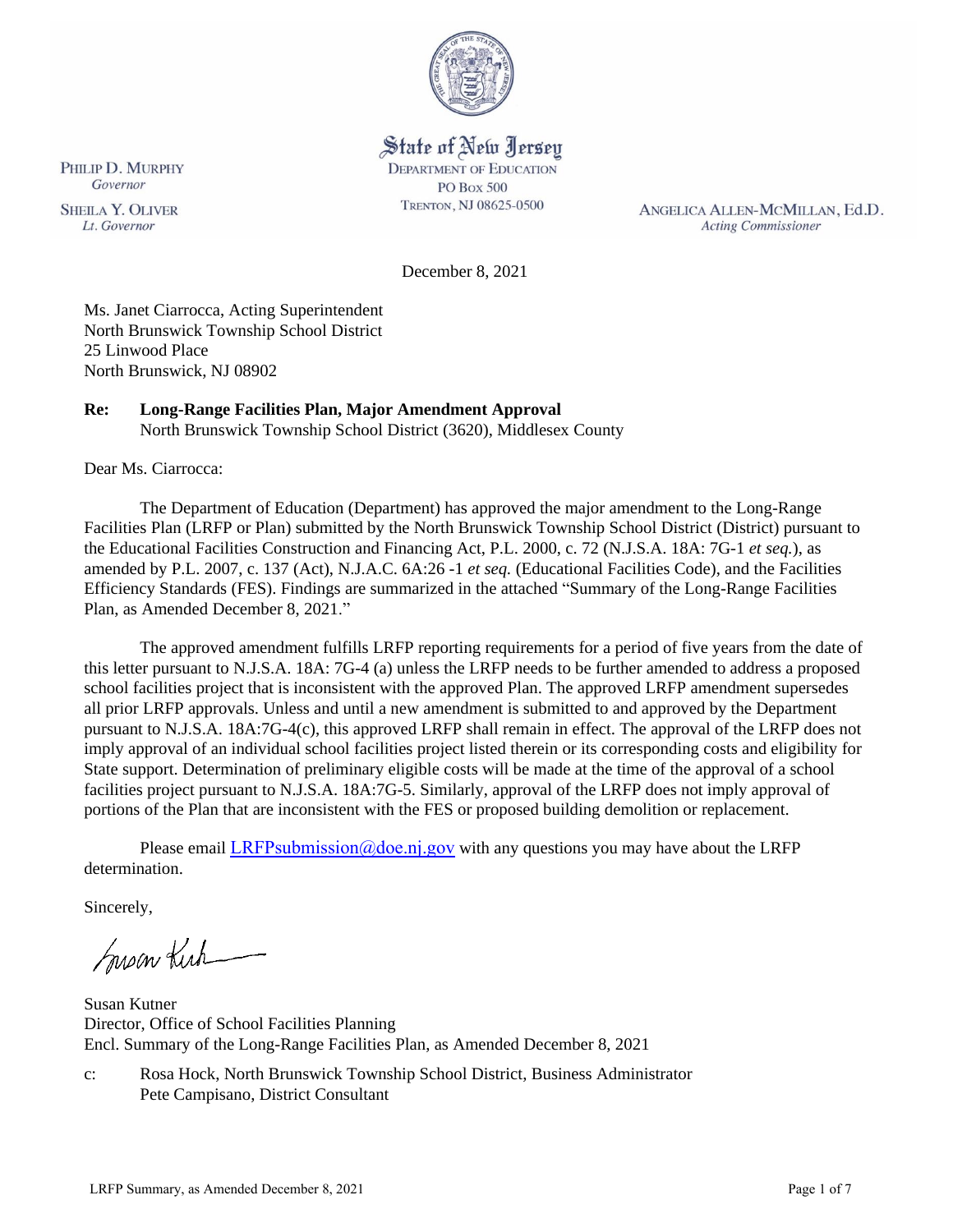

# State of New Jersey

**DEPARTMENT OF EDUCATION PO Box 500** TRENTON, NJ 08625-0500

ANGELICA ALLEN-MCMILLAN, Ed.D. **Acting Commissioner** 

December 8, 2021

Ms. Janet Ciarrocca, Acting Superintendent North Brunswick Township School District 25 Linwood Place North Brunswick, NJ 08902

# **Re: Long-Range Facilities Plan, Major Amendment Approval**

North Brunswick Township School District (3620), Middlesex County

Dear Ms. Ciarrocca:

The Department of Education (Department) has approved the major amendment to the Long-Range Facilities Plan (LRFP or Plan) submitted by the North Brunswick Township School District (District) pursuant to the Educational Facilities Construction and Financing Act, P.L. 2000, c. 72 (N.J.S.A. 18A: 7G-1 *et seq.*), as amended by P.L. 2007, c. 137 (Act), N.J.A.C. 6A:26 -1 *et seq.* (Educational Facilities Code), and the Facilities Efficiency Standards (FES). Findings are summarized in the attached "Summary of the Long-Range Facilities Plan, as Amended December 8, 2021."

The approved amendment fulfills LRFP reporting requirements for a period of five years from the date of this letter pursuant to N.J.S.A. 18A: 7G-4 (a) unless the LRFP needs to be further amended to address a proposed school facilities project that is inconsistent with the approved Plan. The approved LRFP amendment supersedes all prior LRFP approvals. Unless and until a new amendment is submitted to and approved by the Department pursuant to N.J.S.A. 18A:7G-4(c), this approved LRFP shall remain in effect. The approval of the LRFP does not imply approval of an individual school facilities project listed therein or its corresponding costs and eligibility for State support. Determination of preliminary eligible costs will be made at the time of the approval of a school facilities project pursuant to N.J.S.A. 18A:7G-5. Similarly, approval of the LRFP does not imply approval of portions of the Plan that are inconsistent with the FES or proposed building demolition or replacement.

Please email LRFPsubmission  $@doen$  i.gov with any questions you may have about the LRFP determination.

Sincerely,

Susan Kich

Susan Kutner Director, Office of School Facilities Planning Encl. Summary of the Long-Range Facilities Plan, as Amended December 8, 2021

c: Rosa Hock, North Brunswick Township School District, Business Administrator Pete Campisano, District Consultant

Lt. Governor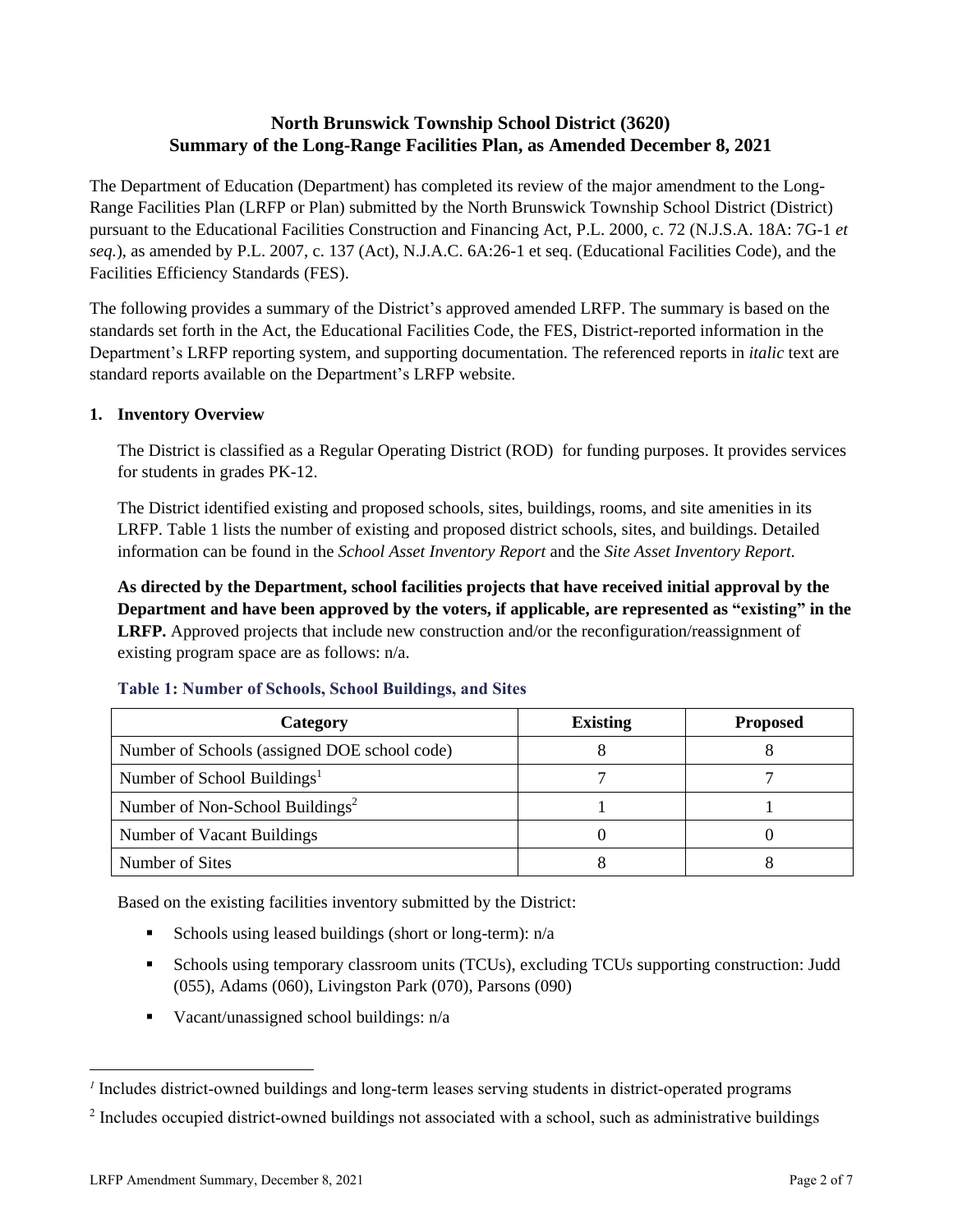# **North Brunswick Township School District (3620) Summary of the Long-Range Facilities Plan, as Amended December 8, 2021**

The Department of Education (Department) has completed its review of the major amendment to the Long-Range Facilities Plan (LRFP or Plan) submitted by the North Brunswick Township School District (District) pursuant to the Educational Facilities Construction and Financing Act, P.L. 2000, c. 72 (N.J.S.A. 18A: 7G-1 *et seq.*), as amended by P.L. 2007, c. 137 (Act), N.J.A.C. 6A:26-1 et seq. (Educational Facilities Code), and the Facilities Efficiency Standards (FES).

The following provides a summary of the District's approved amended LRFP. The summary is based on the standards set forth in the Act, the Educational Facilities Code, the FES, District-reported information in the Department's LRFP reporting system, and supporting documentation. The referenced reports in *italic* text are standard reports available on the Department's LRFP website.

#### **1. Inventory Overview**

The District is classified as a Regular Operating District (ROD) for funding purposes. It provides services for students in grades PK-12.

The District identified existing and proposed schools, sites, buildings, rooms, and site amenities in its LRFP. Table 1 lists the number of existing and proposed district schools, sites, and buildings. Detailed information can be found in the *School Asset Inventory Report* and the *Site Asset Inventory Report.*

**As directed by the Department, school facilities projects that have received initial approval by the Department and have been approved by the voters, if applicable, are represented as "existing" in the LRFP.** Approved projects that include new construction and/or the reconfiguration/reassignment of existing program space are as follows: n/a.

| Category                                     | <b>Existing</b> | <b>Proposed</b> |
|----------------------------------------------|-----------------|-----------------|
| Number of Schools (assigned DOE school code) |                 |                 |
| Number of School Buildings <sup>1</sup>      |                 |                 |
| Number of Non-School Buildings <sup>2</sup>  |                 |                 |
| Number of Vacant Buildings                   |                 |                 |
| Number of Sites                              |                 |                 |

#### **Table 1: Number of Schools, School Buildings, and Sites**

Based on the existing facilities inventory submitted by the District:

- **•** Schools using leased buildings (short or long-term):  $n/a$
- Schools using temporary classroom units (TCUs), excluding TCUs supporting construction: Judd (055), Adams (060), Livingston Park (070), Parsons (090)
- Vacant/unassigned school buildings: n/a

*<sup>1</sup>* Includes district-owned buildings and long-term leases serving students in district-operated programs

 $2$  Includes occupied district-owned buildings not associated with a school, such as administrative buildings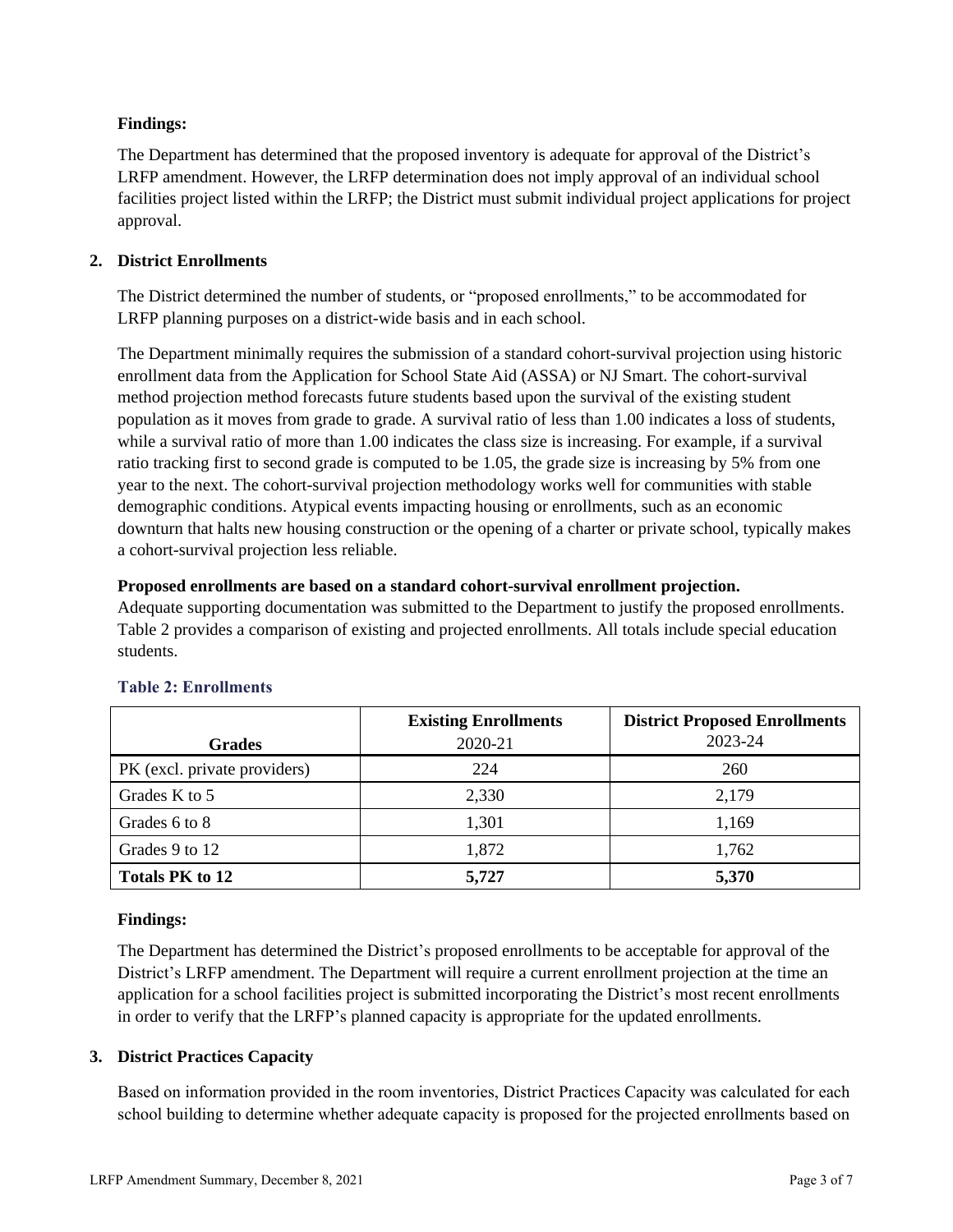## **Findings:**

The Department has determined that the proposed inventory is adequate for approval of the District's LRFP amendment. However, the LRFP determination does not imply approval of an individual school facilities project listed within the LRFP; the District must submit individual project applications for project approval.

# **2. District Enrollments**

The District determined the number of students, or "proposed enrollments," to be accommodated for LRFP planning purposes on a district-wide basis and in each school.

The Department minimally requires the submission of a standard cohort-survival projection using historic enrollment data from the Application for School State Aid (ASSA) or NJ Smart. The cohort-survival method projection method forecasts future students based upon the survival of the existing student population as it moves from grade to grade. A survival ratio of less than 1.00 indicates a loss of students, while a survival ratio of more than 1.00 indicates the class size is increasing. For example, if a survival ratio tracking first to second grade is computed to be 1.05, the grade size is increasing by 5% from one year to the next. The cohort-survival projection methodology works well for communities with stable demographic conditions. Atypical events impacting housing or enrollments, such as an economic downturn that halts new housing construction or the opening of a charter or private school, typically makes a cohort-survival projection less reliable.

## **Proposed enrollments are based on a standard cohort-survival enrollment projection.**

Adequate supporting documentation was submitted to the Department to justify the proposed enrollments. Table 2 provides a comparison of existing and projected enrollments. All totals include special education students.

|                              | <b>Existing Enrollments</b> | <b>District Proposed Enrollments</b> |
|------------------------------|-----------------------------|--------------------------------------|
| <b>Grades</b>                | 2020-21                     | 2023-24                              |
| PK (excl. private providers) | 224                         | 260                                  |
| Grades K to 5                | 2,330                       | 2,179                                |
| Grades 6 to 8                | 1,301                       | 1.169                                |
| Grades 9 to 12               | 1,872                       | 1,762                                |
| <b>Totals PK to 12</b>       | 5,727                       | 5,370                                |

# **Table 2: Enrollments**

## **Findings:**

The Department has determined the District's proposed enrollments to be acceptable for approval of the District's LRFP amendment. The Department will require a current enrollment projection at the time an application for a school facilities project is submitted incorporating the District's most recent enrollments in order to verify that the LRFP's planned capacity is appropriate for the updated enrollments.

## **3. District Practices Capacity**

Based on information provided in the room inventories, District Practices Capacity was calculated for each school building to determine whether adequate capacity is proposed for the projected enrollments based on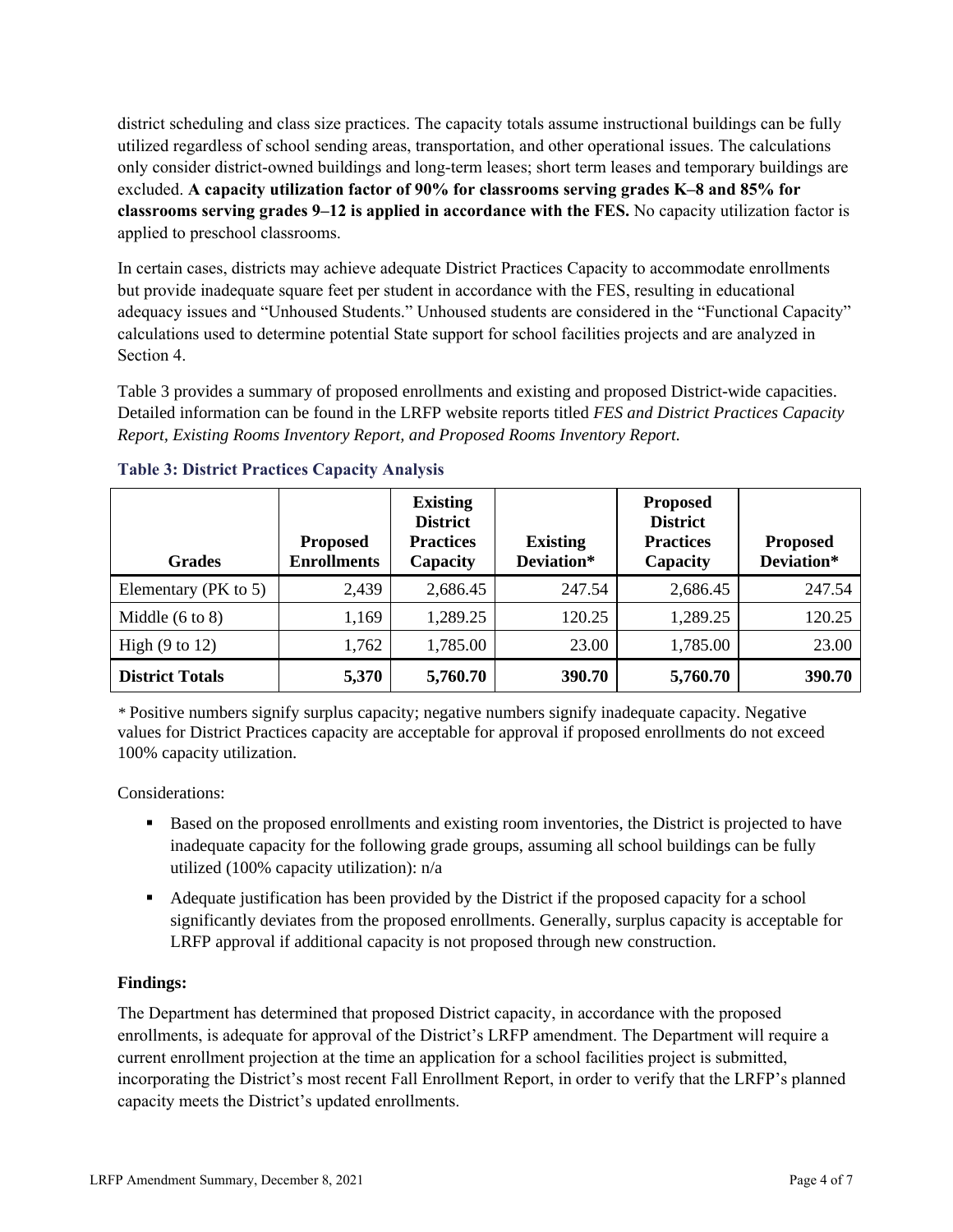district scheduling and class size practices. The capacity totals assume instructional buildings can be fully utilized regardless of school sending areas, transportation, and other operational issues. The calculations only consider district-owned buildings and long-term leases; short term leases and temporary buildings are excluded. **A capacity utilization factor of 90% for classrooms serving grades K–8 and 85% for classrooms serving grades 9–12 is applied in accordance with the FES.** No capacity utilization factor is applied to preschool classrooms.

In certain cases, districts may achieve adequate District Practices Capacity to accommodate enrollments but provide inadequate square feet per student in accordance with the FES, resulting in educational adequacy issues and "Unhoused Students." Unhoused students are considered in the "Functional Capacity" calculations used to determine potential State support for school facilities projects and are analyzed in Section 4.

Table 3 provides a summary of proposed enrollments and existing and proposed District-wide capacities. Detailed information can be found in the LRFP website reports titled *FES and District Practices Capacity Report, Existing Rooms Inventory Report, and Proposed Rooms Inventory Report.*

| <b>Grades</b>              | <b>Proposed</b><br><b>Enrollments</b> | <b>Existing</b><br><b>District</b><br><b>Practices</b><br>Capacity | <b>Existing</b><br>Deviation* | <b>Proposed</b><br><b>District</b><br><b>Practices</b><br>Capacity | <b>Proposed</b><br>Deviation* |
|----------------------------|---------------------------------------|--------------------------------------------------------------------|-------------------------------|--------------------------------------------------------------------|-------------------------------|
| Elementary (PK to 5)       | 2,439                                 | 2,686.45                                                           | 247.54                        | 2,686.45                                                           | 247.54                        |
| Middle $(6 \text{ to } 8)$ | 1,169                                 | 1,289.25                                                           | 120.25                        | 1,289.25                                                           | 120.25                        |
| High $(9 \text{ to } 12)$  | 1,762                                 | 1,785.00                                                           | 23.00                         | 1,785.00                                                           | 23.00                         |
| <b>District Totals</b>     | 5,370                                 | 5,760.70                                                           | 390.70                        | 5,760.70                                                           | 390.70                        |

## **Table 3: District Practices Capacity Analysis**

*\** Positive numbers signify surplus capacity; negative numbers signify inadequate capacity. Negative values for District Practices capacity are acceptable for approval if proposed enrollments do not exceed 100% capacity utilization.

Considerations:

- Based on the proposed enrollments and existing room inventories, the District is projected to have inadequate capacity for the following grade groups, assuming all school buildings can be fully utilized (100% capacity utilization): n/a
- Adequate justification has been provided by the District if the proposed capacity for a school significantly deviates from the proposed enrollments. Generally, surplus capacity is acceptable for LRFP approval if additional capacity is not proposed through new construction.

## **Findings:**

The Department has determined that proposed District capacity, in accordance with the proposed enrollments, is adequate for approval of the District's LRFP amendment. The Department will require a current enrollment projection at the time an application for a school facilities project is submitted, incorporating the District's most recent Fall Enrollment Report, in order to verify that the LRFP's planned capacity meets the District's updated enrollments.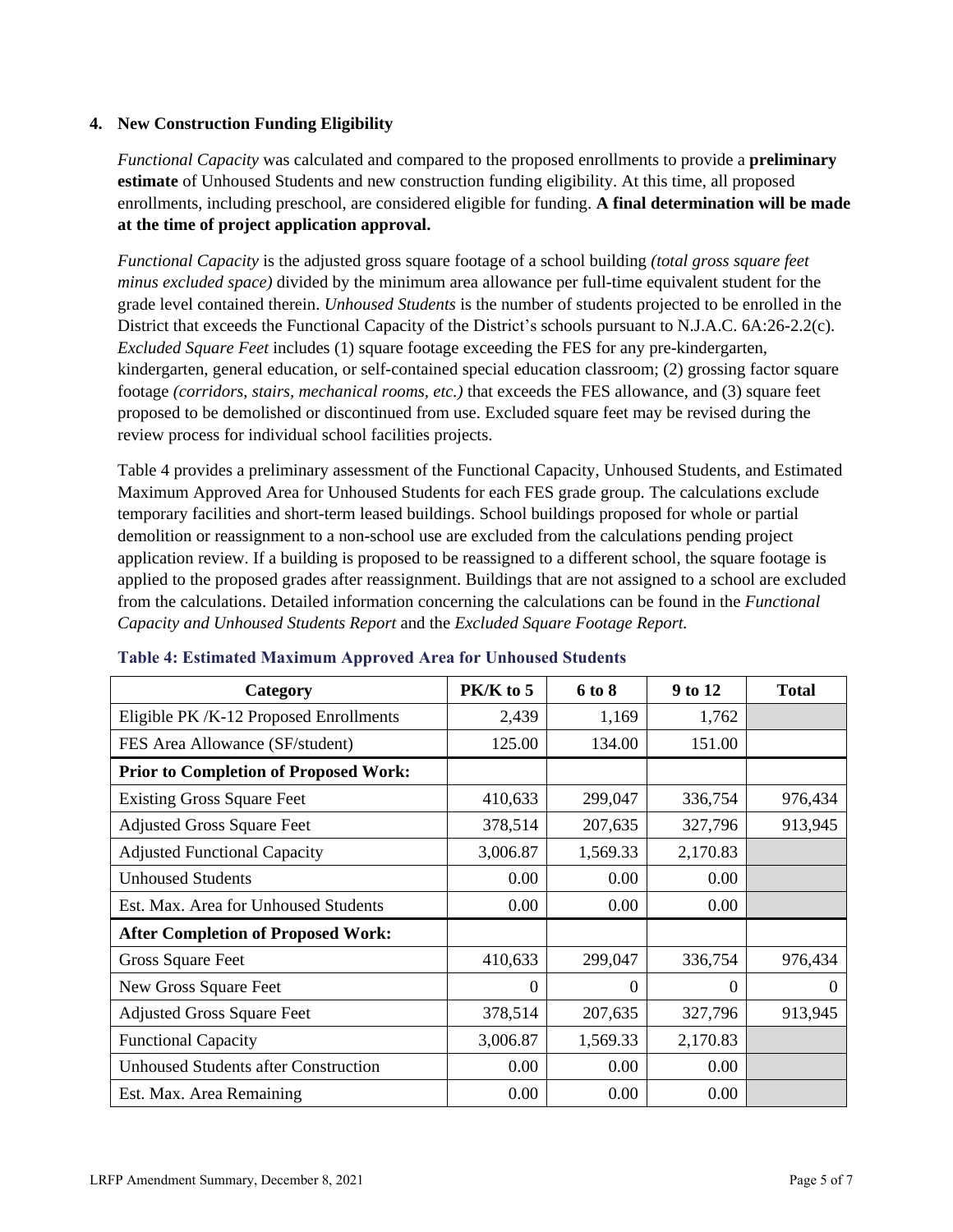#### **4. New Construction Funding Eligibility**

*Functional Capacity* was calculated and compared to the proposed enrollments to provide a **preliminary estimate** of Unhoused Students and new construction funding eligibility. At this time, all proposed enrollments, including preschool, are considered eligible for funding. **A final determination will be made at the time of project application approval.**

*Functional Capacity* is the adjusted gross square footage of a school building *(total gross square feet minus excluded space)* divided by the minimum area allowance per full-time equivalent student for the grade level contained therein. *Unhoused Students* is the number of students projected to be enrolled in the District that exceeds the Functional Capacity of the District's schools pursuant to N.J.A.C. 6A:26-2.2(c). *Excluded Square Feet* includes (1) square footage exceeding the FES for any pre-kindergarten, kindergarten, general education, or self-contained special education classroom; (2) grossing factor square footage *(corridors, stairs, mechanical rooms, etc.)* that exceeds the FES allowance, and (3) square feet proposed to be demolished or discontinued from use. Excluded square feet may be revised during the review process for individual school facilities projects.

Table 4 provides a preliminary assessment of the Functional Capacity, Unhoused Students, and Estimated Maximum Approved Area for Unhoused Students for each FES grade group. The calculations exclude temporary facilities and short-term leased buildings. School buildings proposed for whole or partial demolition or reassignment to a non-school use are excluded from the calculations pending project application review. If a building is proposed to be reassigned to a different school, the square footage is applied to the proposed grades after reassignment. Buildings that are not assigned to a school are excluded from the calculations. Detailed information concerning the calculations can be found in the *Functional Capacity and Unhoused Students Report* and the *Excluded Square Footage Report.*

| Category                                     | $PK/K$ to 5    | 6 to 8   | 9 to 12  | <b>Total</b> |
|----------------------------------------------|----------------|----------|----------|--------------|
| Eligible PK /K-12 Proposed Enrollments       | 2,439          | 1,169    | 1,762    |              |
| FES Area Allowance (SF/student)              | 125.00         | 134.00   | 151.00   |              |
| <b>Prior to Completion of Proposed Work:</b> |                |          |          |              |
| <b>Existing Gross Square Feet</b>            | 410,633        | 299,047  | 336,754  | 976,434      |
| <b>Adjusted Gross Square Feet</b>            | 378,514        | 207,635  | 327,796  | 913,945      |
| <b>Adjusted Functional Capacity</b>          | 3,006.87       | 1,569.33 | 2,170.83 |              |
| <b>Unhoused Students</b>                     | 0.00           | 0.00     | 0.00     |              |
| Est. Max. Area for Unhoused Students         | 0.00           | 0.00     | 0.00     |              |
| <b>After Completion of Proposed Work:</b>    |                |          |          |              |
| Gross Square Feet                            | 410,633        | 299,047  | 336,754  | 976,434      |
| New Gross Square Feet                        | $\overline{0}$ | 0        | $\Omega$ | $\theta$     |
| <b>Adjusted Gross Square Feet</b>            | 378,514        | 207,635  | 327,796  | 913,945      |
| <b>Functional Capacity</b>                   | 3,006.87       | 1,569.33 | 2,170.83 |              |
| <b>Unhoused Students after Construction</b>  | 0.00           | 0.00     | 0.00     |              |
| Est. Max. Area Remaining                     | 0.00           | 0.00     | 0.00     |              |

#### **Table 4: Estimated Maximum Approved Area for Unhoused Students**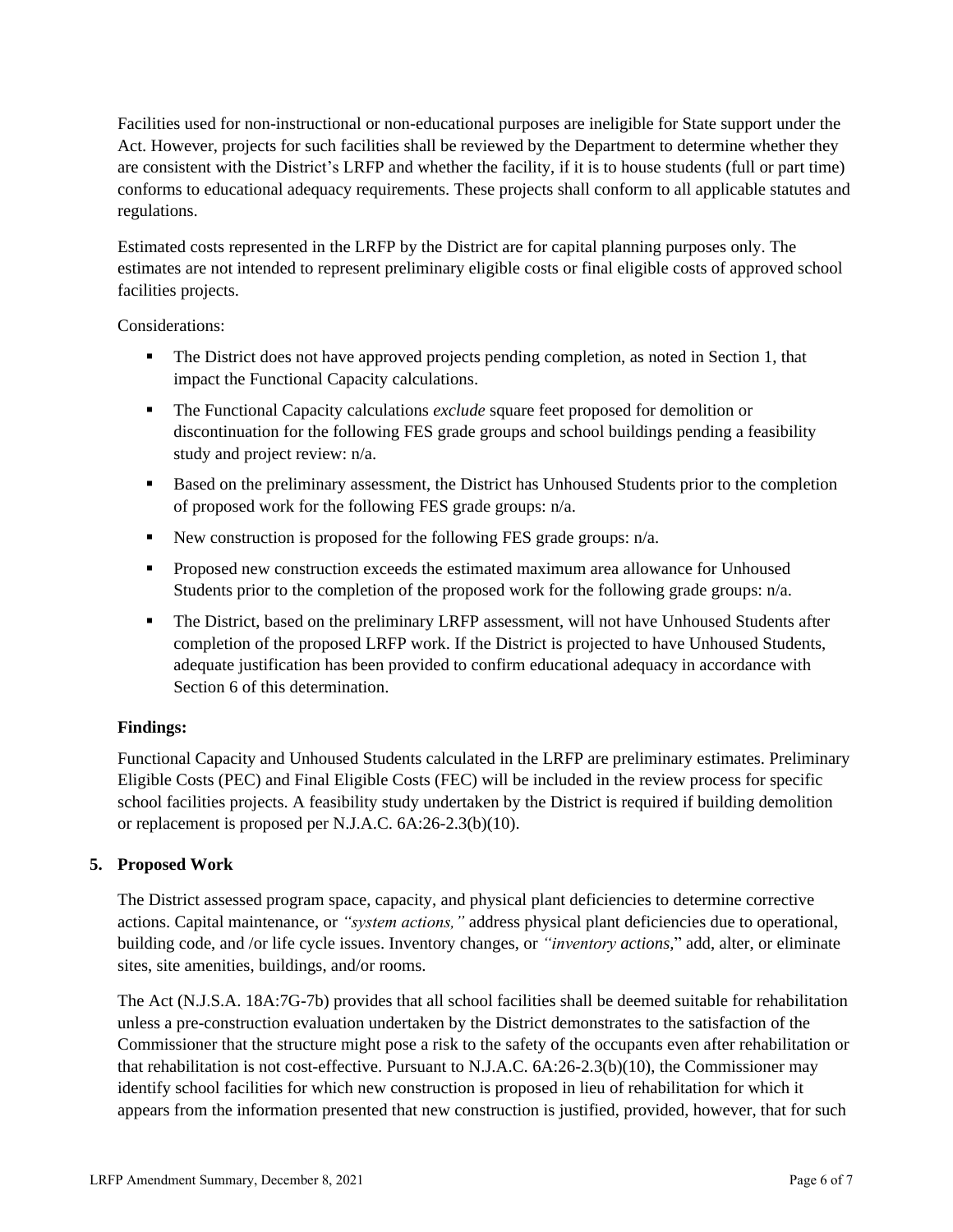Facilities used for non-instructional or non-educational purposes are ineligible for State support under the Act. However, projects for such facilities shall be reviewed by the Department to determine whether they are consistent with the District's LRFP and whether the facility, if it is to house students (full or part time) conforms to educational adequacy requirements. These projects shall conform to all applicable statutes and regulations.

Estimated costs represented in the LRFP by the District are for capital planning purposes only. The estimates are not intended to represent preliminary eligible costs or final eligible costs of approved school facilities projects.

Considerations:

- **•** The District does not have approved projects pending completion, as noted in Section 1, that impact the Functional Capacity calculations.
- The Functional Capacity calculations *exclude* square feet proposed for demolition or discontinuation for the following FES grade groups and school buildings pending a feasibility study and project review: n/a.
- Based on the preliminary assessment, the District has Unhoused Students prior to the completion of proposed work for the following FES grade groups: n/a.
- New construction is proposed for the following FES grade groups: n/a.
- Proposed new construction exceeds the estimated maximum area allowance for Unhoused Students prior to the completion of the proposed work for the following grade groups: n/a.
- **•** The District, based on the preliminary LRFP assessment, will not have Unhoused Students after completion of the proposed LRFP work. If the District is projected to have Unhoused Students, adequate justification has been provided to confirm educational adequacy in accordance with Section 6 of this determination.

## **Findings:**

Functional Capacity and Unhoused Students calculated in the LRFP are preliminary estimates. Preliminary Eligible Costs (PEC) and Final Eligible Costs (FEC) will be included in the review process for specific school facilities projects. A feasibility study undertaken by the District is required if building demolition or replacement is proposed per N.J.A.C. 6A:26-2.3(b)(10).

## **5. Proposed Work**

The District assessed program space, capacity, and physical plant deficiencies to determine corrective actions. Capital maintenance, or *"system actions,"* address physical plant deficiencies due to operational, building code, and /or life cycle issues. Inventory changes, or *"inventory actions,*" add, alter, or eliminate sites, site amenities, buildings, and/or rooms.

The Act (N.J.S.A. 18A:7G-7b) provides that all school facilities shall be deemed suitable for rehabilitation unless a pre-construction evaluation undertaken by the District demonstrates to the satisfaction of the Commissioner that the structure might pose a risk to the safety of the occupants even after rehabilitation or that rehabilitation is not cost-effective. Pursuant to N.J.A.C. 6A:26-2.3(b)(10), the Commissioner may identify school facilities for which new construction is proposed in lieu of rehabilitation for which it appears from the information presented that new construction is justified, provided, however, that for such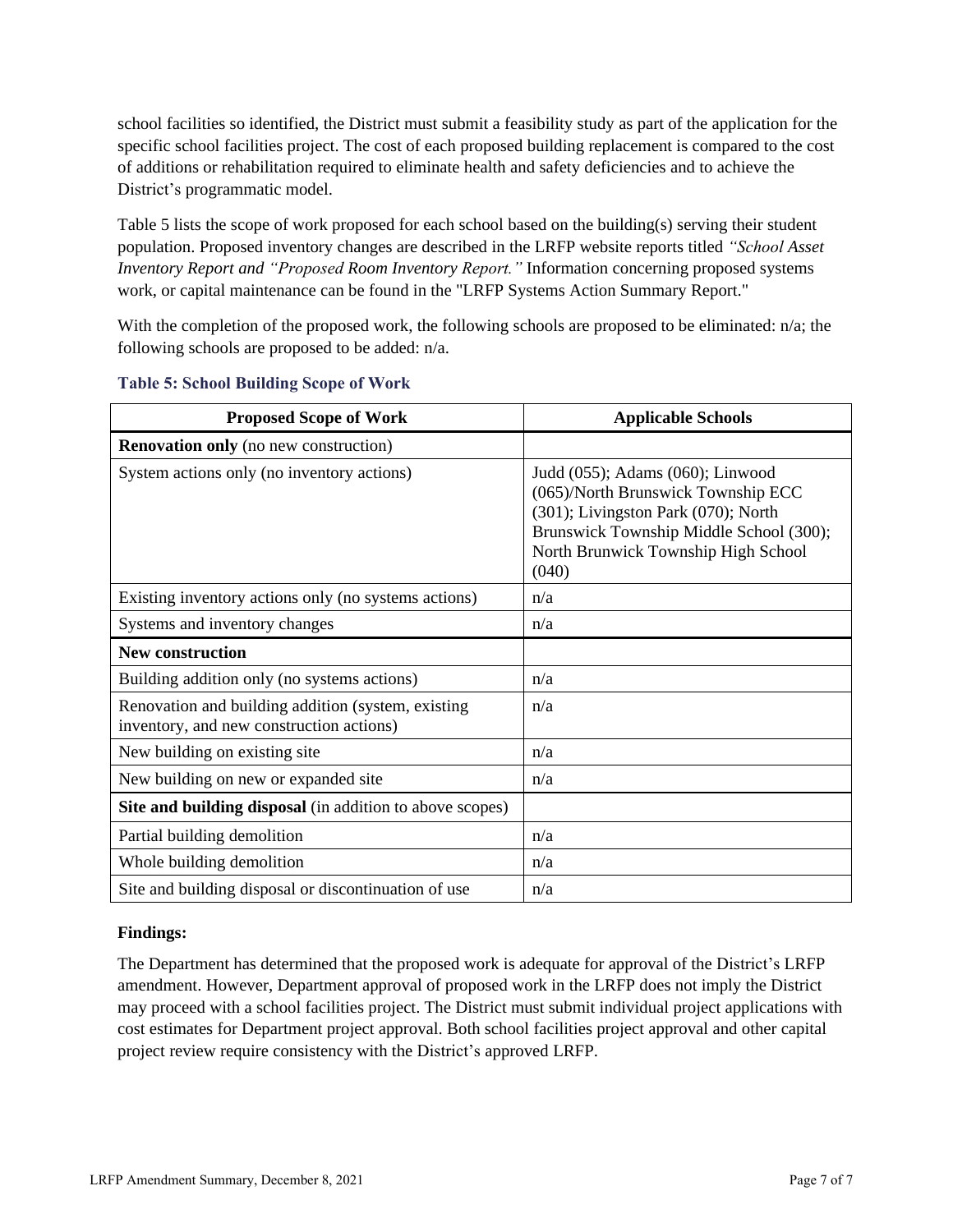school facilities so identified, the District must submit a feasibility study as part of the application for the specific school facilities project. The cost of each proposed building replacement is compared to the cost of additions or rehabilitation required to eliminate health and safety deficiencies and to achieve the District's programmatic model.

Table 5 lists the scope of work proposed for each school based on the building(s) serving their student population. Proposed inventory changes are described in the LRFP website reports titled *"School Asset Inventory Report and "Proposed Room Inventory Report."* Information concerning proposed systems work, or capital maintenance can be found in the "LRFP Systems Action Summary Report."

With the completion of the proposed work, the following schools are proposed to be eliminated: n/a; the following schools are proposed to be added: n/a.

| <b>Proposed Scope of Work</b>                                                                  | <b>Applicable Schools</b>                                                                                                                                                                                |
|------------------------------------------------------------------------------------------------|----------------------------------------------------------------------------------------------------------------------------------------------------------------------------------------------------------|
| <b>Renovation only</b> (no new construction)                                                   |                                                                                                                                                                                                          |
| System actions only (no inventory actions)                                                     | Judd (055); Adams (060); Linwood<br>(065)/North Brunswick Township ECC<br>(301); Livingston Park (070); North<br>Brunswick Township Middle School (300);<br>North Brunwick Township High School<br>(040) |
| Existing inventory actions only (no systems actions)                                           | n/a                                                                                                                                                                                                      |
| Systems and inventory changes                                                                  | n/a                                                                                                                                                                                                      |
| <b>New construction</b>                                                                        |                                                                                                                                                                                                          |
| Building addition only (no systems actions)                                                    | n/a                                                                                                                                                                                                      |
| Renovation and building addition (system, existing<br>inventory, and new construction actions) | n/a                                                                                                                                                                                                      |
| New building on existing site                                                                  | n/a                                                                                                                                                                                                      |
| New building on new or expanded site                                                           | n/a                                                                                                                                                                                                      |
| Site and building disposal (in addition to above scopes)                                       |                                                                                                                                                                                                          |
| Partial building demolition                                                                    | n/a                                                                                                                                                                                                      |
| Whole building demolition                                                                      | n/a                                                                                                                                                                                                      |
| Site and building disposal or discontinuation of use                                           | n/a                                                                                                                                                                                                      |

#### **Table 5: School Building Scope of Work**

#### **Findings:**

The Department has determined that the proposed work is adequate for approval of the District's LRFP amendment. However, Department approval of proposed work in the LRFP does not imply the District may proceed with a school facilities project. The District must submit individual project applications with cost estimates for Department project approval. Both school facilities project approval and other capital project review require consistency with the District's approved LRFP.